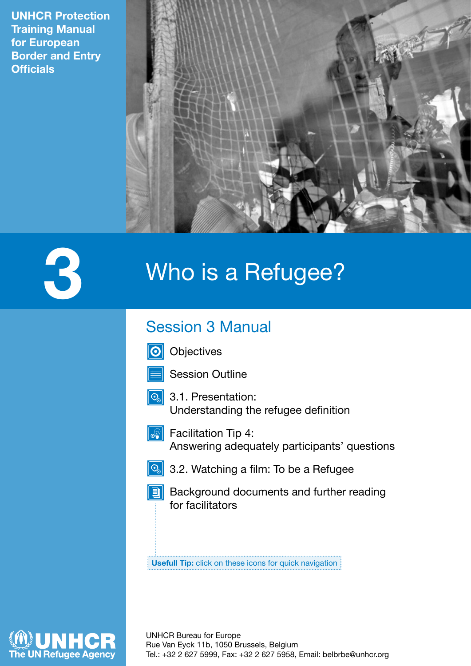**UNHCR Protection Training Manual for European Border and Entry Officials**



# **3** Who is a Refugee?

# Session 3 Manual

**Objectives**  $|\mathbf{O}|$ 



- 
- **3.1. Presentation:** Understanding the refugee definition



- $\boxed{\circledR}$  Facilitation Tip 4: Answering adequately participants' questions
	-
- 3.2. Watching a film: To be a Refugee
- **Background documents and further reading** for facilitators

**Usefull Tip:** click on these icons for quick navigation

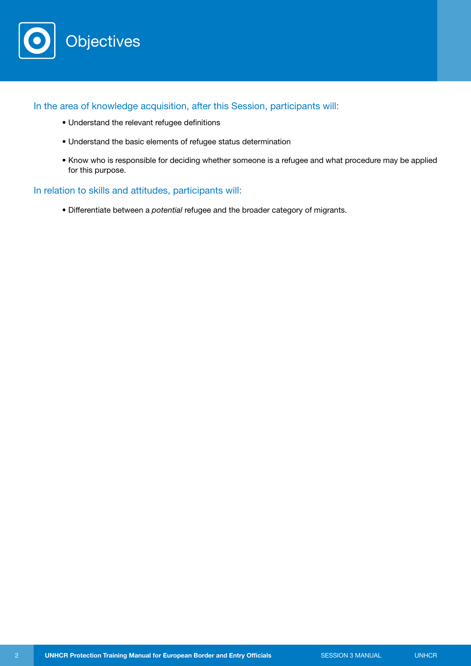

In the area of knowledge acquisition, after this Session, participants will:

- Understand the relevant refugee definitions
- Understand the basic elements of refugee status determination
- Know who is responsible for deciding whether someone is a refugee and what procedure may be applied for this purpose.

## In relation to skills and attitudes, participants will:

• Differentiate between a *potential* refugee and the broader category of migrants.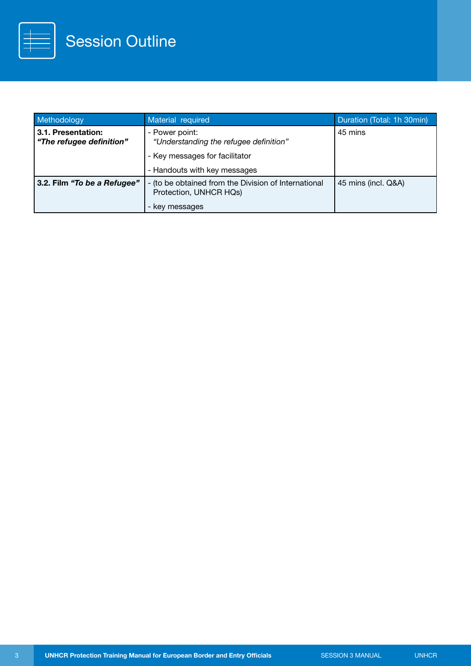

| Methodology                                    | Material required                                                                                | Duration (Total: 1h 30min) |
|------------------------------------------------|--------------------------------------------------------------------------------------------------|----------------------------|
| 3.1. Presentation:<br>"The refugee definition" | - Power point:<br>"Understanding the refugee definition"                                         | 45 mins                    |
|                                                | - Key messages for facilitator                                                                   |                            |
|                                                | - Handouts with key messages                                                                     |                            |
| 3.2. Film "To be a Refugee"                    | - (to be obtained from the Division of International<br>Protection, UNHCR HQs)<br>- key messages | 45 mins (incl. Q&A)        |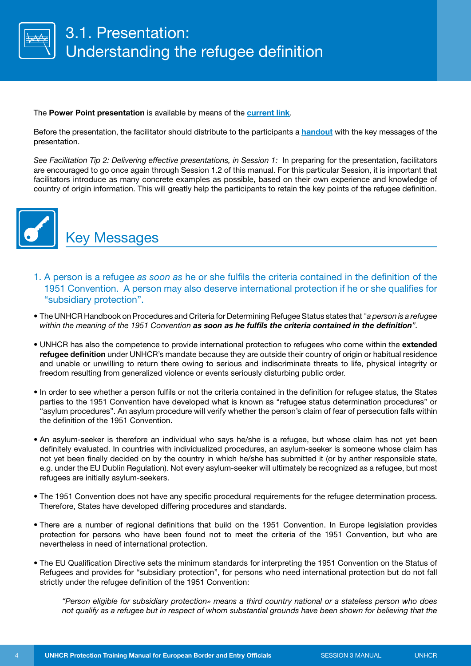

#### The **Power Point presentation** is available by means of the **[current link](http://www.unhcr.org/4d944cc99.html)**.

Before the presentation, the facilitator should distribute to the participants a **[handout](http://www.unhcr.org/4d944d089.html)** with the key messages of the presentation.

*See Facilitation Tip 2: Delivering effective presentations, in Session 1:* In preparing for the presentation, facilitators are encouraged to go once again through Session 1.2 of this manual. For this particular Session, it is important that facilitators introduce as many concrete examples as possible, based on their own experience and knowledge of country of origin information. This will greatly help the participants to retain the key points of the refugee definition.



Key Messages

- 1. A person is a refugee *as soon as* he or she fulfils the criteria contained in the definition of the 1951 Convention. A person may also deserve international protection if he or she qualifies for "subsidiary protection".
- The UNHCR Handbook on Procedures and Criteria for Determining Refugee Status states that *"a person is a refugee within the meaning of the 1951 Convention as soon as he fulfils the criteria contained in the definition".*
- UNHCR has also the competence to provide international protection to refugees who come within the **extended refugee definition** under UNHCR's mandate because they are outside their country of origin or habitual residence and unable or unwilling to return there owing to serious and indiscriminate threats to life, physical integrity or freedom resulting from generalized violence or events seriously disturbing public order.
- In order to see whether a person fulfils or not the criteria contained in the definition for refugee status, the States parties to the 1951 Convention have developed what is known as "refugee status determination procedures" or "asylum procedures". An asylum procedure will verify whether the person's claim of fear of persecution falls within the definition of the 1951 Convention.
- An asylum-seeker is therefore an individual who says he/she is a refugee, but whose claim has not yet been definitely evaluated. In countries with individualized procedures, an asylum-seeker is someone whose claim has not yet been finally decided on by the country in which he/she has submitted it (or by anther responsible state, e.g. under the EU Dublin Regulation). Not every asylum-seeker will ultimately be recognized as a refugee, but most refugees are initially asylum-seekers.
- The 1951 Convention does not have any specific procedural requirements for the refugee determination process. Therefore, States have developed differing procedures and standards.
- There are a number of regional definitions that build on the 1951 Convention. In Europe legislation provides protection for persons who have been found not to meet the criteria of the 1951 Convention, but who are nevertheless in need of international protection.
- The EU Qualification Directive sets the minimum standards for interpreting the 1951 Convention on the Status of Refugees and provides for "subsidiary protection", for persons who need international protection but do not fall strictly under the refugee definition of the 1951 Convention:

*"Person eligible for subsidiary protection» means a third country national or a stateless person who does not qualify as a refugee but in respect of whom substantial grounds have been shown for believing that the*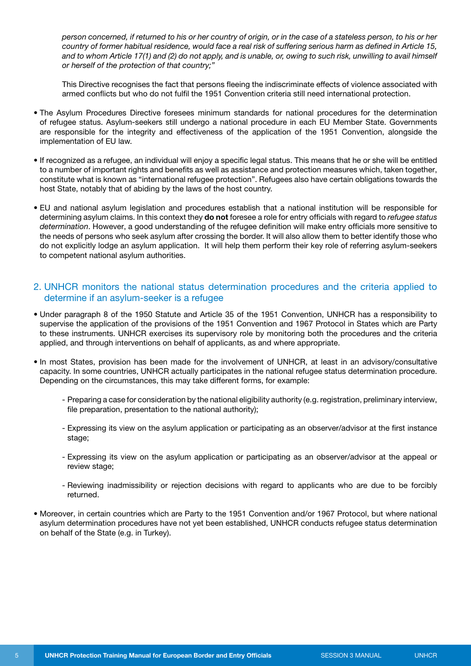*person concerned, if returned to his or her country of origin, or in the case of a stateless person, to his or her country of former habitual residence, would face a real risk of suffering serious harm as defined in Article 15, and to whom Article 17(1) and (2) do not apply, and is unable, or, owing to such risk, unwilling to avail himself or herself of the protection of that country;"*

This Directive recognises the fact that persons fleeing the indiscriminate effects of violence associated with armed conflicts but who do not fulfil the 1951 Convention criteria still need international protection.

- The Asylum Procedures Directive foresees minimum standards for national procedures for the determination of refugee status. Asylum-seekers still undergo a national procedure in each EU Member State. Governments are responsible for the integrity and effectiveness of the application of the 1951 Convention, alongside the implementation of EU law.
- If recognized as a refugee, an individual will enjoy a specific legal status. This means that he or she will be entitled to a number of important rights and benefits as well as assistance and protection measures which, taken together, constitute what is known as "international refugee protection". Refugees also have certain obligations towards the host State, notably that of abiding by the laws of the host country.
- EU and national asylum legislation and procedures establish that a national institution will be responsible for determining asylum claims. In this context they **do not** foresee a role for entry officials with regard to *refugee status determination*. However, a good understanding of the refugee definition will make entry officials more sensitive to the needs of persons who seek asylum after crossing the border. It will also allow them to better identify those who do not explicitly lodge an asylum application. It will help them perform their key role of referring asylum-seekers to competent national asylum authorities.
- 2. UNHCR monitors the national status determination procedures and the criteria applied to determine if an asylum-seeker is a refugee
- Under paragraph 8 of the 1950 Statute and Article 35 of the 1951 Convention, UNHCR has a responsibility to supervise the application of the provisions of the 1951 Convention and 1967 Protocol in States which are Party to these instruments. UNHCR exercises its supervisory role by monitoring both the procedures and the criteria applied, and through interventions on behalf of applicants, as and where appropriate.
- In most States, provision has been made for the involvement of UNHCR, at least in an advisory/consultative capacity. In some countries, UNHCR actually participates in the national refugee status determination procedure. Depending on the circumstances, this may take different forms, for example:
	- Preparing a case for consideration by the national eligibility authority (e.g. registration, preliminary interview, file preparation, presentation to the national authority);
	- Expressing its view on the asylum application or participating as an observer/advisor at the first instance stage;
	- Expressing its view on the asylum application or participating as an observer/advisor at the appeal or review stage;
	- Reviewing inadmissibility or rejection decisions with regard to applicants who are due to be forcibly returned.
- Moreover, in certain countries which are Party to the 1951 Convention and/or 1967 Protocol, but where national asylum determination procedures have not yet been established, UNHCR conducts refugee status determination on behalf of the State (e.g. in Turkey).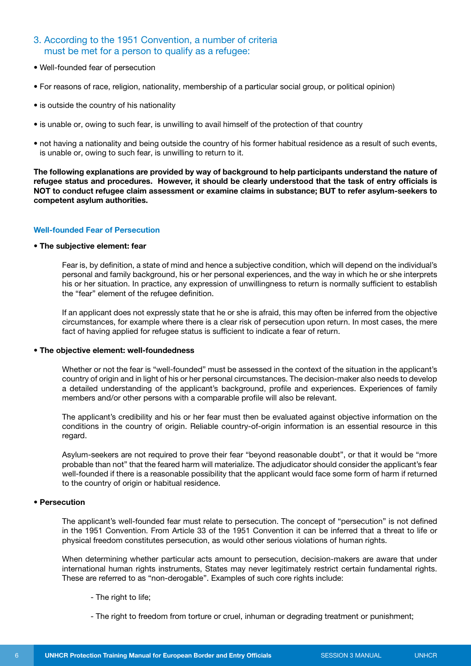# 3. According to the 1951 Convention, a number of criteria must be met for a person to qualify as a refugee:

- Well-founded fear of persecution
- For reasons of race, religion, nationality, membership of a particular social group, or political opinion)
- is outside the country of his nationality
- is unable or, owing to such fear, is unwilling to avail himself of the protection of that country
- not having a nationality and being outside the country of his former habitual residence as a result of such events, is unable or, owing to such fear, is unwilling to return to it.

**The following explanations are provided by way of background to help participants understand the nature of refugee status and procedures. However, it should be clearly understood that the task of entry officials is NOT to conduct refugee claim assessment or examine claims in substance; BUT to refer asylum-seekers to competent asylum authorities.**

#### **Well-founded Fear of Persecution**

#### **• The subjective element: fear**

Fear is, by definition, a state of mind and hence a subjective condition, which will depend on the individual's personal and family background, his or her personal experiences, and the way in which he or she interprets his or her situation. In practice, any expression of unwillingness to return is normally sufficient to establish the "fear" element of the refugee definition.

 If an applicant does not expressly state that he or she is afraid, this may often be inferred from the objective circumstances, for example where there is a clear risk of persecution upon return. In most cases, the mere fact of having applied for refugee status is sufficient to indicate a fear of return.

#### **• The objective element: well-foundedness**

Whether or not the fear is "well-founded" must be assessed in the context of the situation in the applicant's country of origin and in light of his or her personal circumstances. The decision-maker also needs to develop a detailed understanding of the applicant's background, profile and experiences. Experiences of family members and/or other persons with a comparable profile will also be relevant.

The applicant's credibility and his or her fear must then be evaluated against objective information on the conditions in the country of origin. Reliable country-of-origin information is an essential resource in this regard.

Asylum-seekers are not required to prove their fear "beyond reasonable doubt", or that it would be "more probable than not" that the feared harm will materialize. The adjudicator should consider the applicant's fear well-founded if there is a reasonable possibility that the applicant would face some form of harm if returned to the country of origin or habitual residence.

#### **• Persecution**

The applicant's well-founded fear must relate to persecution. The concept of "persecution" is not defined in the 1951 Convention. From Article 33 of the 1951 Convention it can be inferred that a threat to life or physical freedom constitutes persecution, as would other serious violations of human rights.

When determining whether particular acts amount to persecution, decision-makers are aware that under international human rights instruments, States may never legitimately restrict certain fundamental rights. These are referred to as "non-derogable". Examples of such core rights include:

- The right to life;
- The right to freedom from torture or cruel, inhuman or degrading treatment or punishment;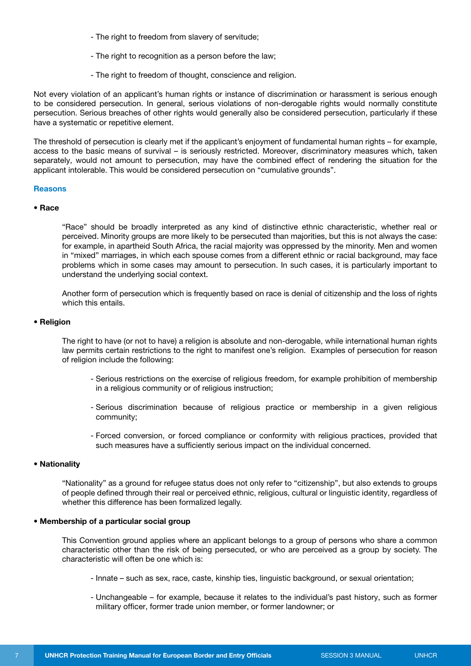- The right to freedom from slavery of servitude;
- The right to recognition as a person before the law;
- The right to freedom of thought, conscience and religion.

Not every violation of an applicant's human rights or instance of discrimination or harassment is serious enough to be considered persecution. In general, serious violations of non-derogable rights would normally constitute persecution. Serious breaches of other rights would generally also be considered persecution, particularly if these have a systematic or repetitive element.

The threshold of persecution is clearly met if the applicant's enjoyment of fundamental human rights – for example, access to the basic means of survival – is seriously restricted. Moreover, discriminatory measures which, taken separately, would not amount to persecution, may have the combined effect of rendering the situation for the applicant intolerable. This would be considered persecution on "cumulative grounds".

#### **Reasons**

#### **• Race**

"Race" should be broadly interpreted as any kind of distinctive ethnic characteristic, whether real or perceived. Minority groups are more likely to be persecuted than majorities, but this is not always the case: for example, in apartheid South Africa, the racial majority was oppressed by the minority. Men and women in "mixed" marriages, in which each spouse comes from a different ethnic or racial background, may face problems which in some cases may amount to persecution. In such cases, it is particularly important to understand the underlying social context.

Another form of persecution which is frequently based on race is denial of citizenship and the loss of rights which this entails.

#### **• Religion**

The right to have (or not to have) a religion is absolute and non-derogable, while international human rights law permits certain restrictions to the right to manifest one's religion. Examples of persecution for reason of religion include the following:

- Serious restrictions on the exercise of religious freedom, for example prohibition of membership in a religious community or of religious instruction;
- Serious discrimination because of religious practice or membership in a given religious community;
- Forced conversion, or forced compliance or conformity with religious practices, provided that such measures have a sufficiently serious impact on the individual concerned.

#### **• Nationality**

"Nationality" as a ground for refugee status does not only refer to "citizenship", but also extends to groups of people defined through their real or perceived ethnic, religious, cultural or linguistic identity, regardless of whether this difference has been formalized legally.

#### **• Membership of a particular social group**

This Convention ground applies where an applicant belongs to a group of persons who share a common characteristic other than the risk of being persecuted, or who are perceived as a group by society. The characteristic will often be one which is:

- Innate such as sex, race, caste, kinship ties, linguistic background, or sexual orientation;
- Unchangeable for example, because it relates to the individual's past history, such as former military officer, former trade union member, or former landowner; or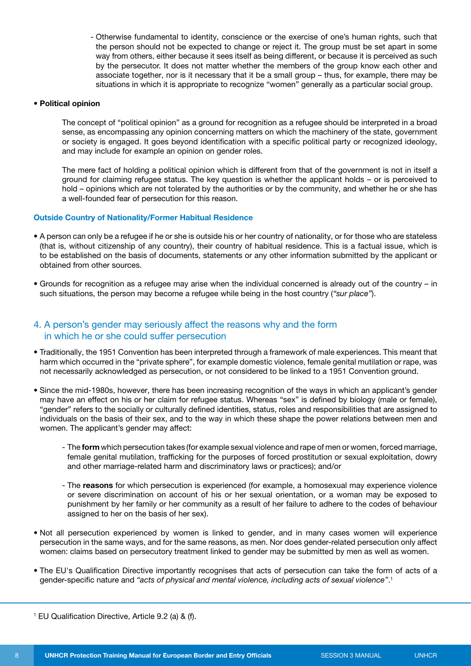- Otherwise fundamental to identity, conscience or the exercise of one's human rights, such that the person should not be expected to change or reject it. The group must be set apart in some way from others, either because it sees itself as being different, or because it is perceived as such by the persecutor. It does not matter whether the members of the group know each other and associate together, nor is it necessary that it be a small group – thus, for example, there may be situations in which it is appropriate to recognize "women" generally as a particular social group.

#### **• Political opinion**

The concept of "political opinion" as a ground for recognition as a refugee should be interpreted in a broad sense, as encompassing any opinion concerning matters on which the machinery of the state, government or society is engaged. It goes beyond identification with a specific political party or recognized ideology, and may include for example an opinion on gender roles.

The mere fact of holding a political opinion which is different from that of the government is not in itself a ground for claiming refugee status. The key question is whether the applicant holds – or is perceived to hold – opinions which are not tolerated by the authorities or by the community, and whether he or she has a well-founded fear of persecution for this reason.

#### **Outside Country of Nationality/Former Habitual Residence**

- A person can only be a refugee if he or she is outside his or her country of nationality, or for those who are stateless (that is, without citizenship of any country), their country of habitual residence. This is a factual issue, which is to be established on the basis of documents, statements or any other information submitted by the applicant or obtained from other sources.
- Grounds for recognition as a refugee may arise when the individual concerned is already out of the country in such situations, the person may become a refugee while being in the host country (*"sur place"*).

## 4. A person's gender may seriously affect the reasons why and the form in which he or she could suffer persecution

- Traditionally, the 1951 Convention has been interpreted through a framework of male experiences. This meant that harm which occurred in the "private sphere", for example domestic violence, female genital mutilation or rape, was not necessarily acknowledged as persecution, or not considered to be linked to a 1951 Convention ground.
- Since the mid-1980s, however, there has been increasing recognition of the ways in which an applicant's gender may have an effect on his or her claim for refugee status. Whereas "sex" is defined by biology (male or female), "gender" refers to the socially or culturally defined identities, status, roles and responsibilities that are assigned to individuals on the basis of their sex, and to the way in which these shape the power relations between men and women. The applicant's gender may affect:
	- The **form** which persecution takes (for example sexual violence and rape of men or women, forced marriage, female genital mutilation, trafficking for the purposes of forced prostitution or sexual exploitation, dowry and other marriage-related harm and discriminatory laws or practices); and/or
	- The **reasons** for which persecution is experienced (for example, a homosexual may experience violence or severe discrimination on account of his or her sexual orientation, or a woman may be exposed to punishment by her family or her community as a result of her failure to adhere to the codes of behaviour assigned to her on the basis of her sex).
- Not all persecution experienced by women is linked to gender, and in many cases women will experience persecution in the same ways, and for the same reasons, as men. Nor does gender-related persecution only affect women: claims based on persecutory treatment linked to gender may be submitted by men as well as women.
- The EU's Qualification Directive importantly recognises that acts of persecution can take the form of acts of a gender-specific nature and *"acts of physical and mental violence, including acts of sexual violence"*. 1

<sup>1</sup> EU Qualification Directive, Article 9.2 (a) & (f).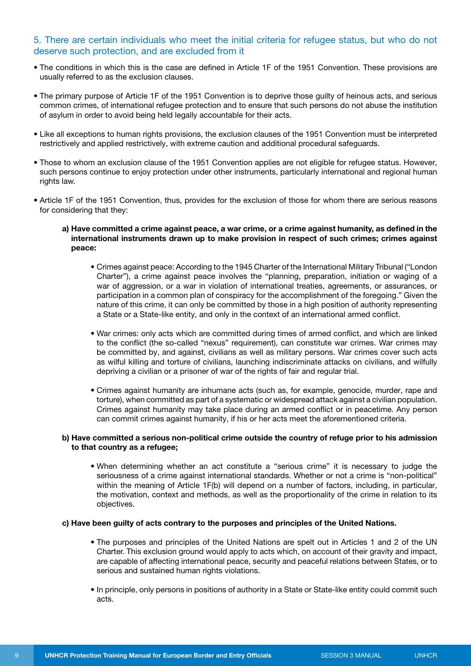# 5. There are certain individuals who meet the initial criteria for refugee status, but who do not deserve such protection, and are excluded from it

- The conditions in which this is the case are defined in Article 1F of the 1951 Convention. These provisions are usually referred to as the exclusion clauses.
- The primary purpose of Article 1F of the 1951 Convention is to deprive those guilty of heinous acts, and serious common crimes, of international refugee protection and to ensure that such persons do not abuse the institution of asylum in order to avoid being held legally accountable for their acts.
- Like all exceptions to human rights provisions, the exclusion clauses of the 1951 Convention must be interpreted restrictively and applied restrictively, with extreme caution and additional procedural safeguards.
- Those to whom an exclusion clause of the 1951 Convention applies are not eligible for refugee status. However, such persons continue to enjoy protection under other instruments, particularly international and regional human rights law.
- Article 1F of the 1951 Convention, thus, provides for the exclusion of those for whom there are serious reasons for considering that they:
	- **a) Have committed a crime against peace, a war crime, or a crime against humanity, as defined in the international instruments drawn up to make provision in respect of such crimes; crimes against peace:**
		- Crimes against peace: According to the 1945 Charter of the International Military Tribunal ("London Charter"), a crime against peace involves the "planning, preparation, initiation or waging of a war of aggression, or a war in violation of international treaties, agreements, or assurances, or participation in a common plan of conspiracy for the accomplishment of the foregoing." Given the nature of this crime, it can only be committed by those in a high position of authority representing a State or a State-like entity, and only in the context of an international armed conflict.
		- War crimes: only acts which are committed during times of armed conflict, and which are linked to the conflict (the so-called "nexus" requirement), can constitute war crimes. War crimes may be committed by, and against, civilians as well as military persons. War crimes cover such acts as wilful killing and torture of civilians, launching indiscriminate attacks on civilians, and wilfully depriving a civilian or a prisoner of war of the rights of fair and regular trial.
		- Crimes against humanity are inhumane acts (such as, for example, genocide, murder, rape and torture), when committed as part of a systematic or widespread attack against a civilian population. Crimes against humanity may take place during an armed conflict or in peacetime. Any person can commit crimes against humanity, if his or her acts meet the aforementioned criteria.

#### **b) Have committed a serious non-political crime outside the country of refuge prior to his admission to that country as a refugee;**

• When determining whether an act constitute a "serious crime" it is necessary to judge the seriousness of a crime against international standards. Whether or not a crime is "non-political" within the meaning of Article 1F(b) will depend on a number of factors, including, in particular, the motivation, context and methods, as well as the proportionality of the crime in relation to its objectives.

#### **c) Have been guilty of acts contrary to the purposes and principles of the United Nations.**

- The purposes and principles of the United Nations are spelt out in Articles 1 and 2 of the UN Charter. This exclusion ground would apply to acts which, on account of their gravity and impact, are capable of affecting international peace, security and peaceful relations between States, or to serious and sustained human rights violations.
- In principle, only persons in positions of authority in a State or State-like entity could commit such acts.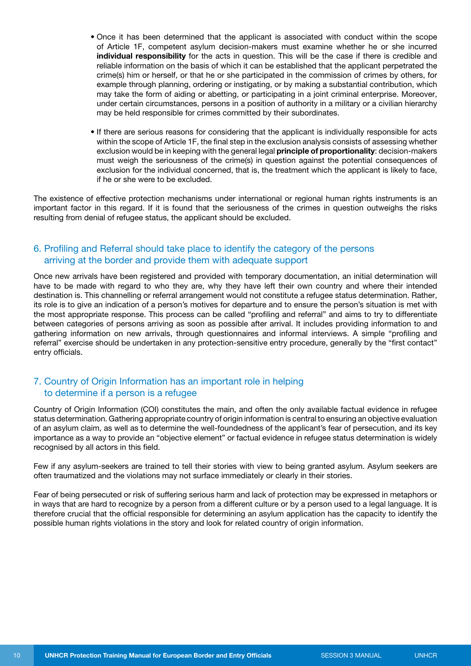- Once it has been determined that the applicant is associated with conduct within the scope of Article 1F, competent asylum decision-makers must examine whether he or she incurred **individual responsibility** for the acts in question. This will be the case if there is credible and reliable information on the basis of which it can be established that the applicant perpetrated the crime(s) him or herself, or that he or she participated in the commission of crimes by others, for example through planning, ordering or instigating, or by making a substantial contribution, which may take the form of aiding or abetting, or participating in a joint criminal enterprise. Moreover, under certain circumstances, persons in a position of authority in a military or a civilian hierarchy may be held responsible for crimes committed by their subordinates.
- If there are serious reasons for considering that the applicant is individually responsible for acts within the scope of Article 1F, the final step in the exclusion analysis consists of assessing whether exclusion would be in keeping with the general legal **principle of proportionality**: decision-makers must weigh the seriousness of the crime(s) in question against the potential consequences of exclusion for the individual concerned, that is, the treatment which the applicant is likely to face, if he or she were to be excluded.

The existence of effective protection mechanisms under international or regional human rights instruments is an important factor in this regard. If it is found that the seriousness of the crimes in question outweighs the risks resulting from denial of refugee status, the applicant should be excluded.

# 6. Profiling and Referral should take place to identify the category of the persons arriving at the border and provide them with adequate support

Once new arrivals have been registered and provided with temporary documentation, an initial determination will have to be made with regard to who they are, why they have left their own country and where their intended destination is. This channelling or referral arrangement would not constitute a refugee status determination. Rather, its role is to give an indication of a person's motives for departure and to ensure the person's situation is met with the most appropriate response. This process can be called "profiling and referral" and aims to try to differentiate between categories of persons arriving as soon as possible after arrival. It includes providing information to and gathering information on new arrivals, through questionnaires and informal interviews. A simple "profiling and referral" exercise should be undertaken in any protection-sensitive entry procedure, generally by the "first contact" entry officials.

# 7. Country of Origin Information has an important role in helping to determine if a person is a refugee

Country of Origin Information (COI) constitutes the main, and often the only available factual evidence in refugee status determination. Gathering appropriate country of origin information is central to ensuring an objective evaluation of an asylum claim, as well as to determine the well-foundedness of the applicant's fear of persecution, and its key importance as a way to provide an "objective element" or factual evidence in refugee status determination is widely recognised by all actors in this field.

Few if any asylum-seekers are trained to tell their stories with view to being granted asylum. Asylum seekers are often traumatized and the violations may not surface immediately or clearly in their stories.

Fear of being persecuted or risk of suffering serious harm and lack of protection may be expressed in metaphors or in ways that are hard to recognize by a person from a different culture or by a person used to a legal language. It is therefore crucial that the official responsible for determining an asylum application has the capacity to identify the possible human rights violations in the story and look for related country of origin information.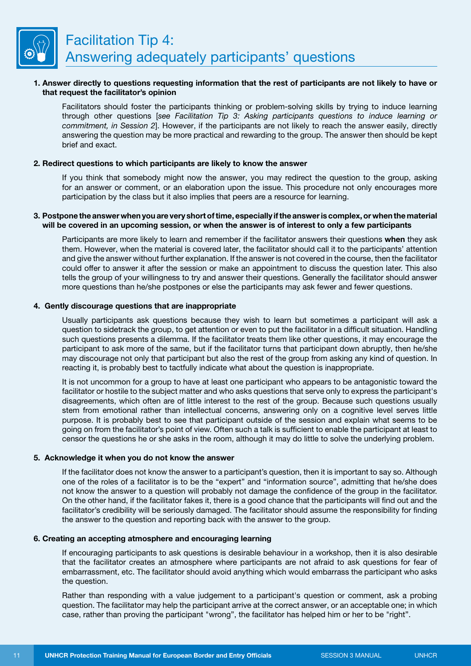

#### **1. Answer directly to questions requesting information that the rest of participants are not likely to have or that request the facilitator's opinion**

Facilitators should foster the participants thinking or problem-solving skills by trying to induce learning through other questions [*see Facilitation Tip 3: Asking participants questions to induce learning or commitment, in Session 2*]. However, if the participants are not likely to reach the answer easily, directly answering the question may be more practical and rewarding to the group. The answer then should be kept brief and exact.

#### **2. Redirect questions to which participants are likely to know the answer**

 If you think that somebody might now the answer, you may redirect the question to the group, asking for an answer or comment, or an elaboration upon the issue. This procedure not only encourages more participation by the class but it also implies that peers are a resource for learning.

#### **3. Postpone the answer when you are very short of time, especially if the answer is complex, or when the material will be covered in an upcoming session, or when the answer is of interest to only a few participants**

Participants are more likely to learn and remember if the facilitator answers their questions **when** they ask them. However, when the material is covered later, the facilitator should call it to the participants' attention and give the answer without further explanation. If the answer is not covered in the course, then the facilitator could offer to answer it after the session or make an appointment to discuss the question later. This also tells the group of your willingness to try and answer their questions. Generally the facilitator should answer more questions than he/she postpones or else the participants may ask fewer and fewer questions.

#### **4. Gently discourage questions that are inappropriate**

Usually participants ask questions because they wish to learn but sometimes a participant will ask a question to sidetrack the group, to get attention or even to put the facilitator in a difficult situation. Handling such questions presents a dilemma. If the facilitator treats them like other questions, it may encourage the participant to ask more of the same, but if the facilitator turns that participant down abruptly, then he/she may discourage not only that participant but also the rest of the group from asking any kind of question. In reacting it, is probably best to tactfully indicate what about the question is inappropriate.

 It is not uncommon for a group to have at least one participant who appears to be antagonistic toward the facilitator or hostile to the subject matter and who asks questions that serve only to express the participant's disagreements, which often are of little interest to the rest of the group. Because such questions usually stem from emotional rather than intellectual concerns, answering only on a cognitive level serves little purpose. It is probably best to see that participant outside of the session and explain what seems to be going on from the facilitator's point of view. Often such a talk is sufficient to enable the participant at least to censor the questions he or she asks in the room, although it may do little to solve the underlying problem.

#### **5. Acknowledge it when you do not know the answer**

 If the facilitator does not know the answer to a participant's question, then it is important to say so. Although one of the roles of a facilitator is to be the "expert" and "information source", admitting that he/she does not know the answer to a question will probably not damage the confidence of the group in the facilitator. On the other hand, if the facilitator fakes it, there is a good chance that the participants will find out and the facilitator's credibility will be seriously damaged. The facilitator should assume the responsibility for finding the answer to the question and reporting back with the answer to the group.

#### **6. Creating an accepting atmosphere and encouraging learning**

 If encouraging participants to ask questions is desirable behaviour in a workshop, then it is also desirable that the facilitator creates an atmosphere where participants are not afraid to ask questions for fear of embarrassment, etc. The facilitator should avoid anything which would embarrass the participant who asks the question.

Rather than responding with a value judgement to a participant's question or comment, ask a probing question. The facilitator may help the participant arrive at the correct answer, or an acceptable one; in which case, rather than proving the participant "wrong", the facilitator has helped him or her to be "right".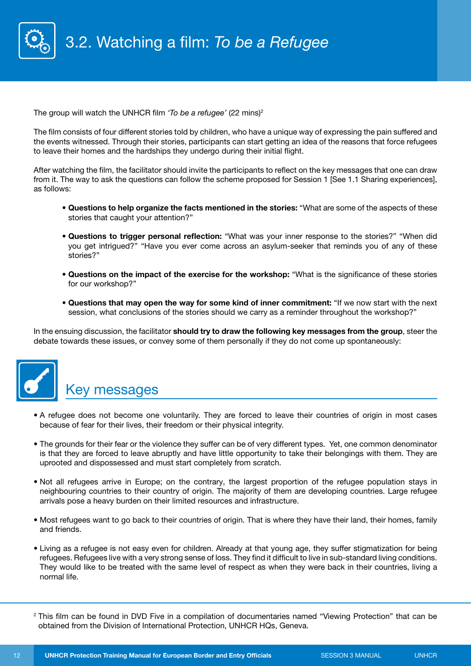

The group will watch the UNHCR film *'To be a refugee'* (22 mins)2

The film consists of four different stories told by children, who have a unique way of expressing the pain suffered and the events witnessed. Through their stories, participants can start getting an idea of the reasons that force refugees to leave their homes and the hardships they undergo during their initial flight.

After watching the film, the facilitator should invite the participants to reflect on the key messages that one can draw from it. The way to ask the questions can follow the scheme proposed for Session 1 [See 1.1 Sharing experiences], as follows:

- **Questions to help organize the facts mentioned in the stories:** "What are some of the aspects of these stories that caught your attention?"
- **Questions to trigger personal reflection:** "What was your inner response to the stories?" "When did you get intrigued?" "Have you ever come across an asylum-seeker that reminds you of any of these stories?"
- **Questions on the impact of the exercise for the workshop:** "What is the significance of these stories for our workshop?"
- **Questions that may open the way for some kind of inner commitment:** "If we now start with the next session, what conclusions of the stories should we carry as a reminder throughout the workshop?"

In the ensuing discussion, the facilitator **should try to draw the following key messages from the group**, steer the debate towards these issues, or convey some of them personally if they do not come up spontaneously:



# Key messages

- A refugee does not become one voluntarily. They are forced to leave their countries of origin in most cases because of fear for their lives, their freedom or their physical integrity.
- The grounds for their fear or the violence they suffer can be of very different types. Yet, one common denominator is that they are forced to leave abruptly and have little opportunity to take their belongings with them. They are uprooted and dispossessed and must start completely from scratch.
- Not all refugees arrive in Europe; on the contrary, the largest proportion of the refugee population stays in neighbouring countries to their country of origin. The majority of them are developing countries. Large refugee arrivals pose a heavy burden on their limited resources and infrastructure.
- Most refugees want to go back to their countries of origin. That is where they have their land, their homes, family and friends.
- Living as a refugee is not easy even for children. Already at that young age, they suffer stigmatization for being refugees. Refugees live with a very strong sense of loss. They find it difficult to live in sub-standard living conditions. They would like to be treated with the same level of respect as when they were back in their countries, living a normal life.

<sup>&</sup>lt;sup>2</sup> This film can be found in DVD Five in a compilation of documentaries named "Viewing Protection" that can be obtained from the Division of International Protection, UNHCR HQs, Geneva.